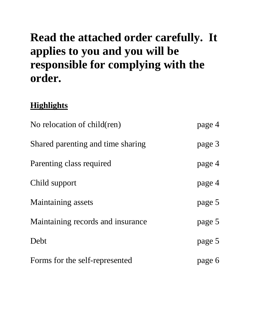# **Read the attached order carefully. It applies to you and you will be responsible for complying with the order.**

# **Highlights**

| No relocation of child(ren)       | page 4 |
|-----------------------------------|--------|
| Shared parenting and time sharing | page 3 |
| Parenting class required          | page 4 |
| Child support                     | page 4 |
| Maintaining assets                | page 5 |
| Maintaining records and insurance | page 5 |
| Debt                              | page 5 |
| Forms for the self-represented    | page 6 |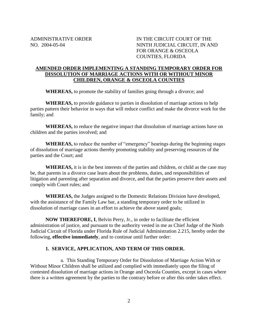ADMINISTRATIVE ORDER IN THE CIRCUIT COURT OF THE NO. 2004-05-04 NINTH JUDICIAL CIRCUIT, IN AND FOR ORANGE & OSCEOLA COUNTIES, FLORIDA

# **AMENDED ORDER IMPLEMENTING A STANDING TEMPORARY ORDER FOR DISSOLUTION OF MARRIAGE ACTIONS WITH OR WITHOUT MINOR CHILDREN, ORANGE & OSCEOLA COUNTIES**

**WHEREAS,** to promote the stability of families going through a divorce; and

**WHEREAS,** to provide guidance to parties in dissolution of marriage actions to help parties pattern their behavior in ways that will reduce conflict and make the divorce work for the family; and

**WHEREAS,** to reduce the negative impact that dissolution of marriage actions have on children and the parties involved; and

**WHEREAS,** to reduce the number of "emergency" hearings during the beginning stages of dissolution of marriage actions thereby promoting stability and preserving resources of the parties and the Court; and

**WHEREAS,** it is in the best interests of the parties and children, or child as the case may be, that parents in a divorce case learn about the problems, duties, and responsibilities of litigation and parenting after separation and divorce, and that the parties preserve their assets and comply with Court rules; and

**WHEREAS,** the Judges assigned to the Domestic Relations Division have developed, with the assistance of the Family Law bar, a standing temporary order to be utilized in dissolution of marriage cases in an effort to achieve the above stated goals;

**NOW THEREFORE, I**, Belvin Perry, Jr., in order to facilitate the efficient administration of justice, and pursuant to the authority vested in me as Chief Judge of the Ninth Judicial Circuit of Florida under Florida Rule of Judicial Administration 2.215, hereby order the following, **effective immediately**, and to continue until further order:

### **1. SERVICE, APPLICATION, AND TERM OF THIS ORDER.**

a.This Standing Temporary Order for Dissolution of Marriage Action With or Without Minor Children shall be utilized and complied with immediately upon the filing of contested dissolution of marriage actions in Orange and Osceola Counties, except in cases where there is a written agreement by the parties to the contrary before or after this order takes effect.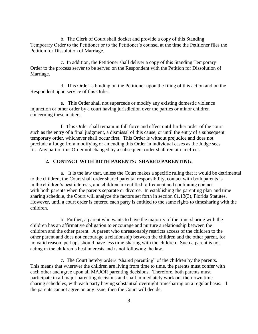b. The Clerk of Court shall docket and provide a copy of this Standing Temporary Order to the Petitioner or to the Petitioner's counsel at the time the Petitioner files the Petition for Dissolution of Marriage.

c.In addition, the Petitioner shall deliver a copy of this Standing Temporary Order to the process server to be served on the Respondent with the Petition for Dissolution of Marriage.

d. This Order is binding on the Petitioner upon the filing of this action and on the Respondent upon service of this Order.

e. This Order shall not supercede or modify any existing domestic violence injunction or other order by a court having jurisdiction over the parties or minor children concerning these matters.

f. This Order shall remain in full force and effect until further order of the court such as the entry of a final judgment, a dismissal of this cause, or until the entry of a subsequent temporary order, whichever shall occur first. This Order is without prejudice and does not preclude a Judge from modifying or amending this Order in individual cases as the Judge sees fit. Any part of this Order not changed by a subsequent order shall remain in effect.

#### **2. CONTACT WITH BOTH PARENTS: SHARED PARENTING.**

a. It is the law that, unless the Court makes a specific ruling that it would be detrimental to the children, the Court shall order shared parental responsibility, contact with both parents is in the children's best interests, and children are entitled to frequent and continuing contact with both parents when the parents separate or divorce. In establishing the parenting plan and time sharing schedule, the Court will analyze the factors set forth in section 61.13(3), Florida Statutes. However, until a court order is entered each party is entitled to the same rights to timesharing with the children.

b. Further, a parent who wants to have the majority of the time-sharing with the children has an affirmative obligation to encourage and nurture a relationship between the children and the other parent. A parent who unreasonably restricts access of the children to the other parent and does not encourage a relationship between the children and the other parent, for no valid reason, perhaps should have less time-sharing with the children. Such a parent is not acting in the children's best interests and is not following the law.

 c.The Court hereby orders "shared parenting" of the children by the parents. This means that wherever the children are living from time to time, the parents must confer with each other and agree upon all MAJOR parenting decisions. Therefore, both parents must participate in all major parenting decisions and shall immediately work out their own time sharing schedules, with each party having substantial overnight timesharing on a regular basis. If the parents cannot agree on any issue, then the Court will decide.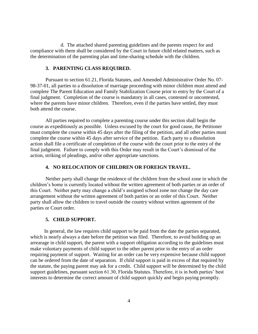d. The attached shared parenting guidelines and the parents respect for and compliance with them shall be considered by the Court in future child related matters, such as the determination of the parenting plan and time-sharing schedule with the children.

#### **3. PARENTING CLASS REQUIRED.**

Pursuant to section 61.21, Florida Statutes, and Amended Administrative Order No. 07- 98-37-01, all parties to a dissolution of marriage proceeding with minor children must attend and complete The Parent Education and Family Stabilization Course prior to entry by the Court of a final judgment. Completion of the course is mandatory in all cases, contested or uncontested, where the parents have minor children. Therefore, even if the parties have settled, they must both attend the course.

All parties required to complete a parenting course under this section shall begin the course as expeditiously as possible. Unless excused by the court for good cause, the Petitioner must complete the course within 45 days after the filing of the petition, and all other parties must complete the course within 45 days after service of the petition. Each party to a dissolution action shall file a certificate of completion of the course with the court prior to the entry of the final judgment. Failure to comply with this Order may result in the Court's dismissal of the action, striking of pleadings, and/or other appropriate sanctions.

## **4. NO RELOCATION OF CHILDREN OR FOREIGN TRAVEL.**

Neither party shall change the residence of the children from the school zone in which the children's home is currently located without the written agreement of both parties or an order of this Court. Neither party may change a child's assigned school zone nor change the day care arrangement without the written agreement of both parties or an order of this Court. Neither party shall allow the children to travel outside the country without written agreement of the parties or Court order.

#### **5. CHILD SUPPORT.**

In general, the law requires child support to be paid from the date the parties separated, which is nearly always a date before the petition was filed. Therefore, to avoid building up an arrearage in child support, the parent with a support obligation according to the guidelines must make voluntary payments of child support to the other parent prior to the entry of an order requiring payment of support. Waiting for an order can be very expensive because child support can be ordered from the date of separation. If child support is paid in excess of that required by the statute, the paying parent may ask for a credit. Child support will be determined by the child support guidelines, pursuant section 61.30, Florida Statutes. Therefore, it is in both parties' best interests to determine the correct amount of child support quickly and begin paying promptly.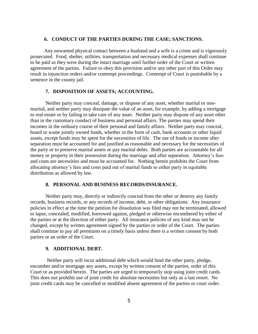#### **6. CONDUCT OF THE PARTIES DURING THE CASE; SANCTIONS.**

Any unwanted physical contact between a husband and a wife is a crime and is vigorously prosecuted. Food, shelter, utilities, transportation and necessary medical expenses shall continue to be paid as they were during the intact marriage until further order of the Court or written agreement of the parties. Failure to obey this provision and/or any other part of this Order may result in injunction orders and/or contempt proceedings. Contempt of Court is punishable by a sentence in the county jail.

#### **7. DISPOSITION OF ASSETS; ACCOUNTING.**

Neither party may conceal, damage, or dispose of any asset, whether marital or nonmarital, and neither party may dissipate the value of an asset, for example, by adding a mortgage to real estate or by failing to take care of any asset. Neither party may dispose of any asset other than in the customary conduct of business and personal affairs. The parties may spend their incomes in the ordinary course of their personal and family affairs. Neither party may conceal, hoard or waste jointly owned funds, whether in the form of cash, bank accounts or other liquid assets, except funds may be spent for the necessities of life. The use of funds or income after separation must be accounted for and justified as reasonable and necessary for the necessities of the party or to preserve marital assets or pay marital debts. Both parties are accountable for all money or property in their possession during the marriage and after separation. Attorney's fees and costs are necessities and must be accounted for. Nothing herein prohibits the Court from allocating attorney's fees and costs paid out of marital funds to either party in equitable distribution as allowed by law.

#### **8. PERSONAL AND BUSINESS RECORDS/INSURANCE.**

Neither party may, directly or indirectly conceal from the other or destroy any family records, business records, or any records of income, debt, or other obligations. Any insurance policies in effect at the time the petition for dissolution was filed may not be terminated, allowed to lapse, concealed, modified, borrowed against, pledged or otherwise encumbered by either of the parties or at the direction of either party. All insurance policies of any kind may not be changed, except by written agreement signed by the parties or order of the Court. The parties shall continue to pay all premiums on a timely basis unless there is a written consent by both parties or an order of the Court.

#### **9. ADDITIONAL DEBT.**

Neither party will incur additional debt which would bind the other party, pledge, encumber and/or mortgage any assets, except by written consent of the parties, order of this Court or as provided herein. The parties are urged to temporarily stop using joint credit cards. This does not prohibit use of joint credit for absolute necessities but only as a last resort. No joint credit cards may be cancelled or modified absent agreement of the parties or court order.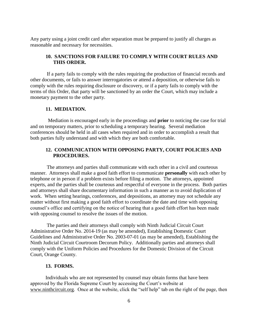Any party using a joint credit card after separation must be prepared to justify all charges as reasonable and necessary for necessities.

# **10. SANCTIONS FOR FAILURE TO COMPLY WITH COURT RULES AND THIS ORDER.**

If a party fails to comply with the rules requiring the production of financial records and other documents, or fails to answer interrogatories or attend a deposition, or otherwise fails to comply with the rules requiring disclosure or discovery, or if a party fails to comply with the terms of this Order, that party will be sanctioned by an order the Court, which may include a monetary payment to the other party.

#### **11. MEDIATION.**

Mediation is encouraged early in the proceedings and **prior** to noticing the case for trial and on temporary matters, prior to scheduling a temporary hearing. Several mediation conferences should be held in all cases when required and in order to accomplish a result that both parties fully understand and with which they are both comfortable.

# **12. COMMUNICATION WITH OPPOSING PARTY, COURT POLICIES AND PROCEDURES.**

The attorneys and parties shall communicate with each other in a civil and courteous manner. Attorneys shall make a good faith effort to communicate **personally** with each other by telephone or in person if a problem exists before filing a motion. The attorneys, appointed experts, and the parties shall be courteous and respectful of everyone in the process. Both parties and attorneys shall share documentary information in such a manner as to avoid duplication of work. When setting hearings, conferences*,* and depositions, an attorney may not schedule any matter without first making a good faith effort to coordinate the date and time with opposing counsel's office and certifying on the notice of hearing that a good faith effort has been made with opposing counsel to resolve the issues of the motion.

The parties and their attorneys shall comply with Ninth Judicial Circuit Court Administrative Order No. 2014-19 (as may be amended), Establishing Domestic Court Guidelines and Administrative Order No. 2003-07-01 (as may be amended), Establishing the Ninth Judicial Circuit Courtroom Decorum Policy. Additionally parties and attorneys shall comply with the Uniform Policies and Procedures for the Domestic Division of the Circuit Court, Orange County.

#### **13. FORMS.**

Individuals who are not represented by counsel may obtain forms that have been approved by the Florida Supreme Court by accessing the Court's website at [www.ninthcircuit.org.](http://www.ninthcircuit.org/) Once at the website, click the "self help" tab on the right of the page, then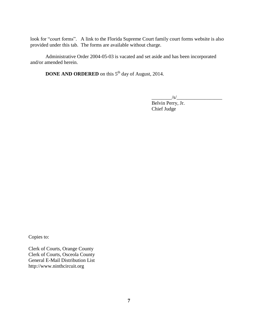look for "court forms". A link to the Florida Supreme Court family court forms website is also provided under this tab. The forms are available without charge.

Administrative Order 2004-05-03 is vacated and set aside and has been incorporated and/or amended herein.

**DONE AND ORDERED** on this 5<sup>th</sup> day of August, 2014.

 $\sqrt{s/2}$ 

Belvin Perry, Jr. Chief Judge

Copies to:

Clerk of Courts, Orange County Clerk of Courts, Osceola County General E-Mail Distribution List http://www.ninthcircuit.org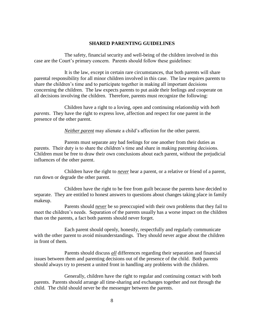#### **SHARED PARENTING GUIDELINES**

 The safety, financial security and well-being of the children involved in this case are the Court's primary concern. Parents should follow these guidelines:

It is the law, except in certain rare circumstances, that both parents will share parental responsibility for all minor children involved in this case. The law requires parents to share the children's time and to participate together in making all important decisions concerning the children. The law expects parents to put aside their feelings and cooperate on all decisions involving the children. Therefore, parents must recognize the following:

Children have a right to a loving, open and continuing relationship with *both parents*. They have the right to express love, affection and respect for one parent in the presence of the other parent.

*Neither parent* may alienate a child's affection for the other parent.

Parents must separate any bad feelings for one another from their duties as parents. Their duty is to share the children's time and share in making parenting decisions. Children must be free to draw their own conclusions about each parent, without the prejudicial influences of the other parent.

Children have the right to *never* hear a parent, or a relative or friend of a parent, run down or degrade the other parent.

Children have the right to be free from guilt because the parents have decided to separate. They are entitled to honest answers to questions about changes taking place in family makeup.

Parents should *never* be so preoccupied with their own problems that they fail to meet the children's needs. Separation of the parents usually has a worse impact on the children than on the parents, a fact both parents should never forget.

Each parent should openly, honestly, respectfully and regularly communicate with the other parent to avoid misunderstandings. They should never argue about the children in front of them.

Parents should discuss *all* differences regarding their separation and financial issues between them and parenting decisions out of the presence of the child. Both parents should always try to present a united front in handling any problems with the children.

Generally, children have the right to regular and continuing contact with both parents. Parents should arrange all time-sharing and exchanges together and not through the child. The child should never be the messenger between the parents.